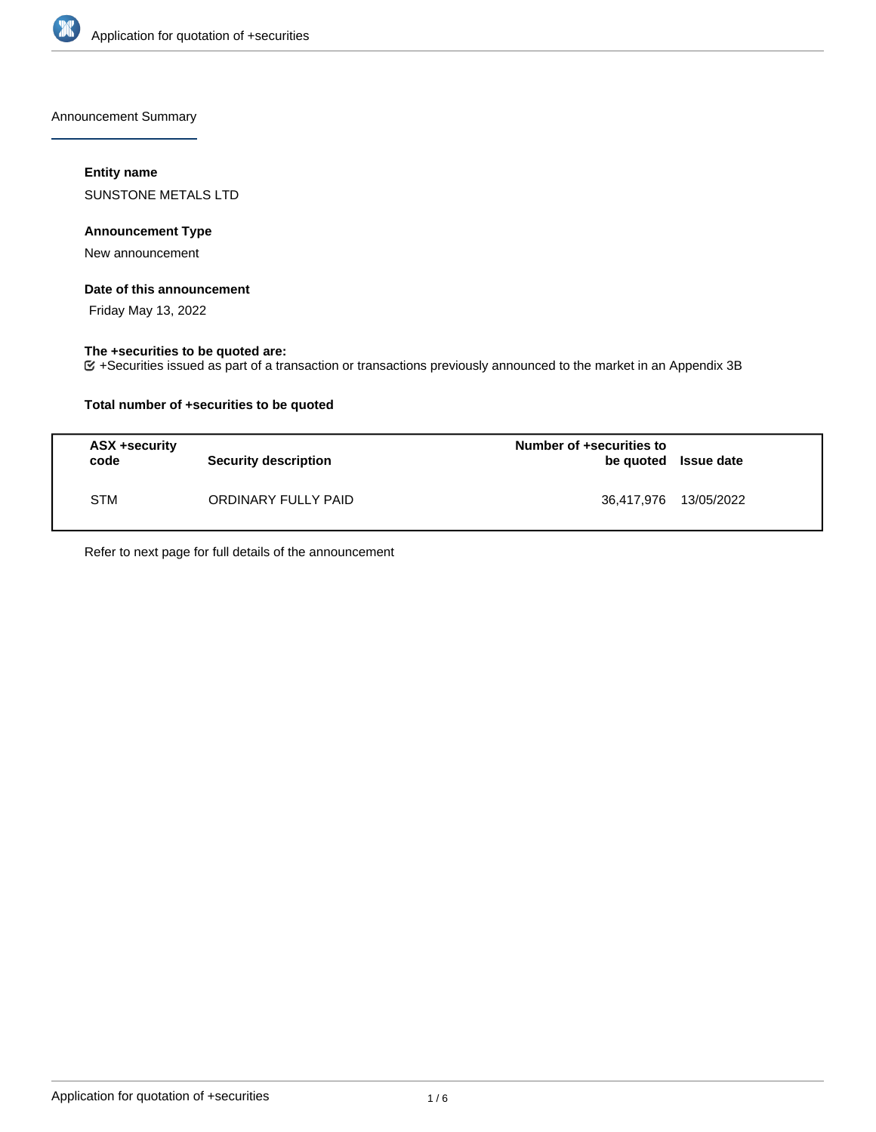

Announcement Summary

## **Entity name**

SUNSTONE METALS LTD

## **Announcement Type**

New announcement

### **Date of this announcement**

Friday May 13, 2022

## **The +securities to be quoted are:**

+Securities issued as part of a transaction or transactions previously announced to the market in an Appendix 3B

## **Total number of +securities to be quoted**

| ASX +security<br>code | <b>Security description</b> | Number of +securities to<br>be quoted Issue date |  |
|-----------------------|-----------------------------|--------------------------------------------------|--|
| <b>STM</b>            | ORDINARY FULLY PAID         | 36,417,976 13/05/2022                            |  |

Refer to next page for full details of the announcement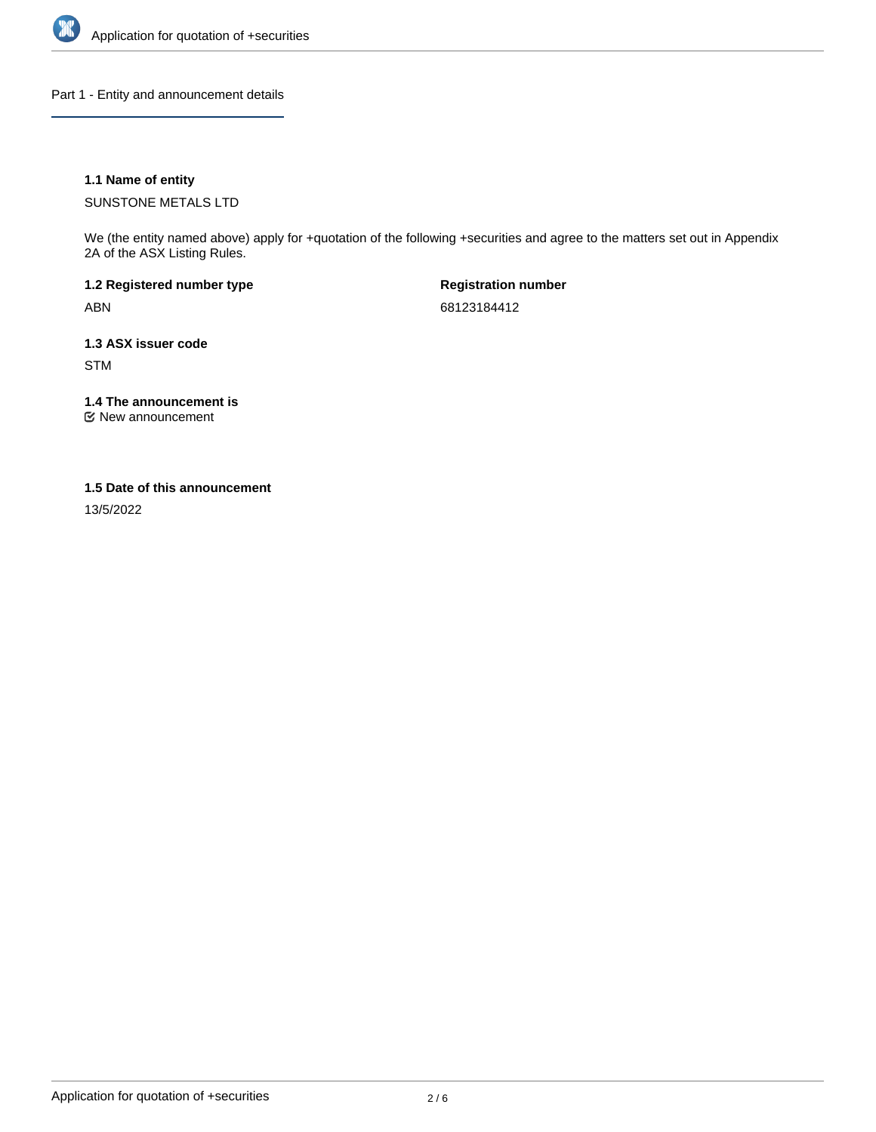

Part 1 - Entity and announcement details

## **1.1 Name of entity**

SUNSTONE METALS LTD

We (the entity named above) apply for +quotation of the following +securities and agree to the matters set out in Appendix 2A of the ASX Listing Rules.

**1.2 Registered number type** ABN

**Registration number** 68123184412

**1.3 ASX issuer code** STM

**1.4 The announcement is**

New announcement

### **1.5 Date of this announcement**

13/5/2022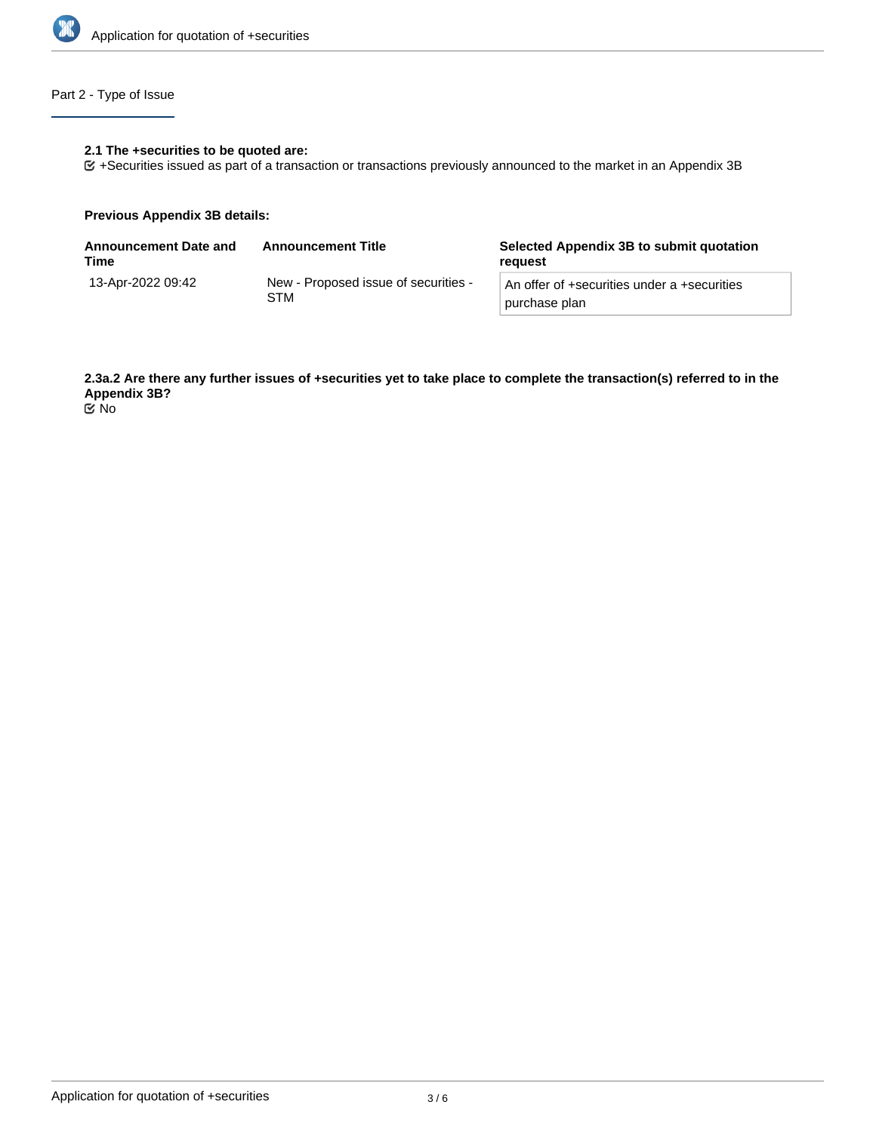

# Part 2 - Type of Issue

#### **2.1 The +securities to be quoted are:**

+Securities issued as part of a transaction or transactions previously announced to the market in an Appendix 3B

### **Previous Appendix 3B details:**

| Announcement Date and<br>Time | <b>Announcement Title</b>                   | Selected Appendix 3B to submit quotation<br>reauest          |  |
|-------------------------------|---------------------------------------------|--------------------------------------------------------------|--|
| 13-Apr-2022 09:42             | New - Proposed issue of securities -<br>STM | An offer of +securities under a +securities<br>purchase plan |  |

**2.3a.2 Are there any further issues of +securities yet to take place to complete the transaction(s) referred to in the Appendix 3B?**

No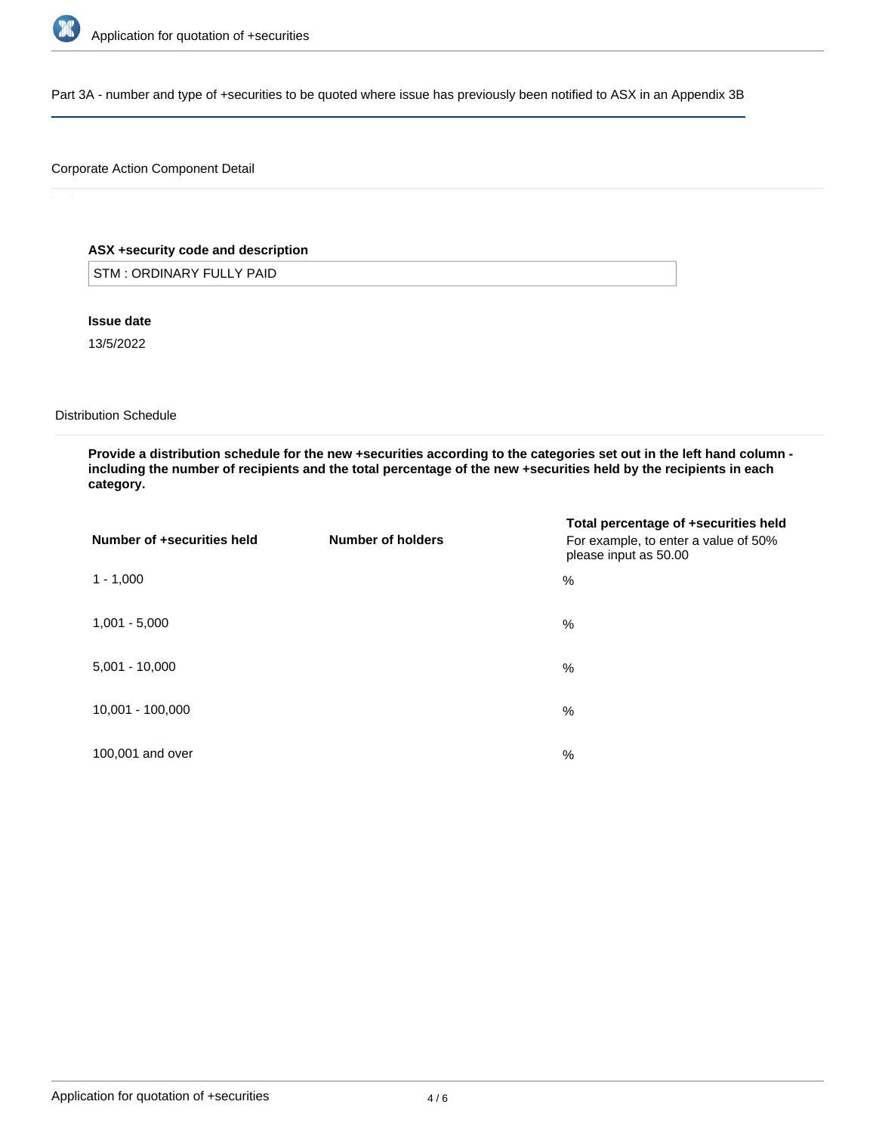

Part 3A - number and type of +securities to be quoted where issue has previously been notified to ASX in an Appendix 3B

## Corporate Action Component Detail

## **ASX +security code and description**

STM : ORDINARY FULLY PAID

**Issue date**

13/5/2022

Distribution Schedule

**Provide a distribution schedule for the new +securities according to the categories set out in the left hand column including the number of recipients and the total percentage of the new +securities held by the recipients in each category.**

| Number of +securities held | Number of holders | Total percentage of +securities held<br>For example, to enter a value of 50%<br>please input as 50.00 |
|----------------------------|-------------------|-------------------------------------------------------------------------------------------------------|
| $1 - 1,000$                |                   | %                                                                                                     |
| $1,001 - 5,000$            |                   | %                                                                                                     |
| $5,001 - 10,000$           |                   | %                                                                                                     |
| 10,001 - 100,000           |                   | %                                                                                                     |
| 100,001 and over           |                   | %                                                                                                     |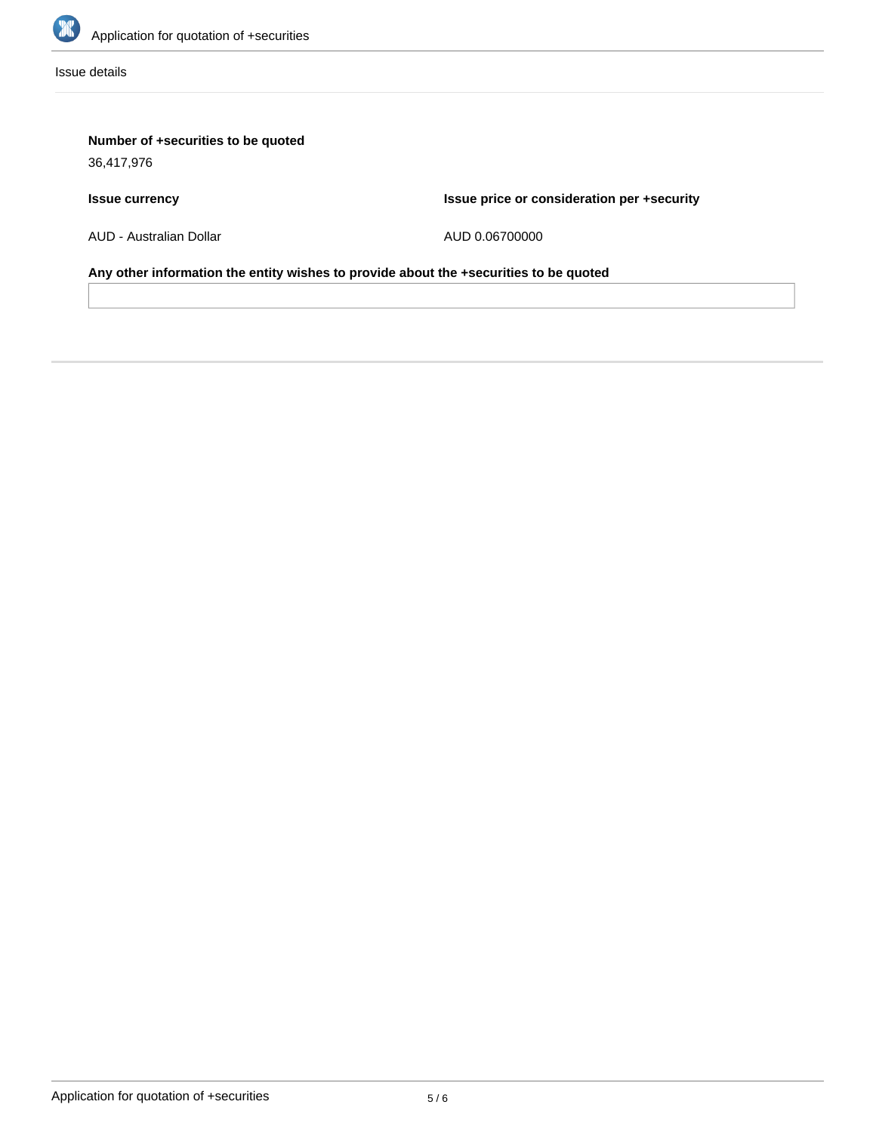

Issue details

# **Number of +securities to be quoted**

36,417,976

# **Issue currency**

**Issue price or consideration per +security**

AUD - Australian Dollar

AUD 0.06700000

**Any other information the entity wishes to provide about the +securities to be quoted**